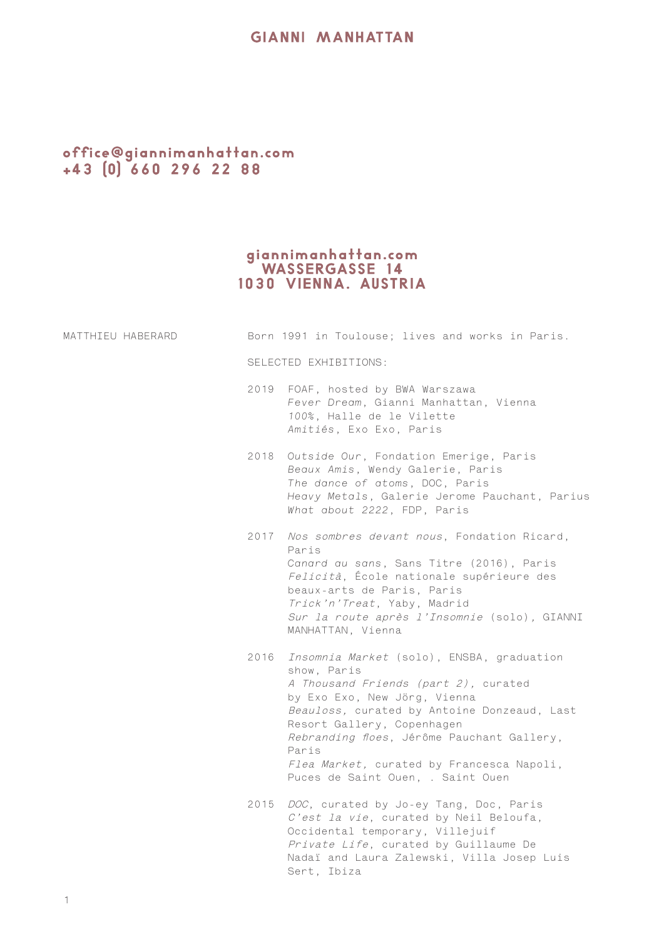## **GIANNI MANHATTAN**

## office@giannimanhattan.com<br>+43 (0) 660 296 22 88

## giannimanhattan.com<br>WASSERGASSE 14<br>1030 VIENNA. AUSTRIA

| MATTHIEU HABERARD |                       | Born 1991 in Toulouse; lives and works in Paris.                                                                                                                                                                                                                                                                                                            |
|-------------------|-----------------------|-------------------------------------------------------------------------------------------------------------------------------------------------------------------------------------------------------------------------------------------------------------------------------------------------------------------------------------------------------------|
|                   | SELECTED EXHIBITIONS: |                                                                                                                                                                                                                                                                                                                                                             |
|                   |                       | 2019 FOAF, hosted by BWA Warszawa<br>Fever Dream, Gianni Manhattan, Vienna<br>100%, Halle de le Vilette<br>Amitiés, Exo Exo, Paris                                                                                                                                                                                                                          |
|                   |                       | 2018 Outside Our, Fondation Emerige, Paris<br>Beaux Amis, Wendy Galerie, Paris<br>The dance of atoms, DOC, Paris<br>Heavy Metals, Galerie Jerome Pauchant, Parius<br>What about 2222, FDP, Paris                                                                                                                                                            |
|                   | 2017                  | Nos sombres devant nous, Fondation Ricard,<br>Paris<br>Canard au sans, Sans Titre (2016), Paris<br>Felicità, École nationale supérieure des<br>beaux-arts de Paris, Paris<br>Trick'n'Treat, Yaby, Madrid<br>Sur la route après l'Insomnie (solo), GIANNI<br>MANHATTAN, Vienna                                                                               |
|                   |                       | 2016 Insomnia Market (solo), ENSBA, graduation<br>show, Paris<br>A Thousand Friends (part 2), curated<br>by Exo Exo, New Jörg, Vienna<br>Beauloss, curated by Antoine Donzeaud, Last<br>Resort Gallery, Copenhagen<br>Rebranding floes, Jérôme Pauchant Gallery,<br>Paris<br>Flea Market, curated by Francesca Napoli,<br>Puces de Saint Ouen, . Saint Ouen |
|                   | 2015                  | DOC, curated by Jo-ey Tang, Doc, Paris<br>C'est la vie, curated by Neil Beloufa,<br>Occidental temporary, Villejuif<br>Private Life, curated by Guillaume De<br>Nadaï and Laura Zalewski, Villa Josep Luis<br>Sert, Ibiza                                                                                                                                   |